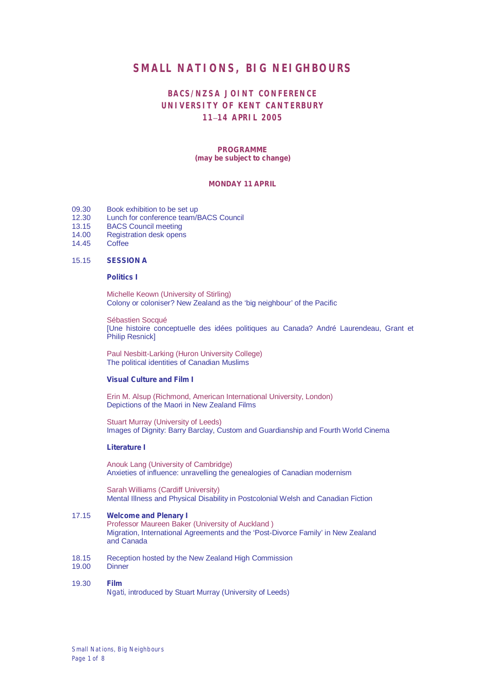## **SMALL NATIONS, BIG NEIGHBOURS**

## **BACS/NZSA JOINT CONFERENCE UNIVERSITY OF KENT CANTERBURY 11**–**14 APRIL 2005**

#### **PROGRAMME** *(may be subject to change)*

## **MONDAY 11 APRIL**

- 09.30 Book exhibition to be set up<br>12.30 Lunch for conference team/E
- 12.30 Lunch for conference team/BACS Council<br>13.15 BACS Council meeting
- 13.15 BACS Council meeting<br>14.00 Registration desk open:
- 14.00 Registration desk opens<br>14.45 Coffee
- **Coffee**

#### 15.15 **SESSION A**

#### **Politics I**

Michelle Keown (University of Stirling) Colony or coloniser? New Zealand as the 'big neighbour' of the Pacific

Sébastien Socqué [Une histoire conceptuelle des idées politiques au Canada? André Laurendeau, Grant et Philip Resnick]

Paul Nesbitt-Larking (Huron University College) The political identities of Canadian Muslims

#### **Visual Culture and Film I**

Erin M. Alsup (Richmond, American International University, London) Depictions of the Maori in New Zealand Films

Stuart Murray (University of Leeds) Images of Dignity: Barry Barclay, Custom and Guardianship and Fourth World Cinema

#### **Literature I**

Anouk Lang (University of Cambridge) Anxieties of influence: unravelling the genealogies of Canadian modernism

Sarah Williams (Cardiff University) Mental Illness and Physical Disability in Postcolonial Welsh and Canadian Fiction

#### 17.15 **Welcome and Plenary I**

Professor Maureen Baker (University of Auckland ) Migration, International Agreements and the 'Post-Divorce Family' in New Zealand and Canada

- 18.15 Reception hosted by the New Zealand High Commission
- 19.00 Dinner

#### 19.30 **Film** *Ngati*, introduced by Stuart Murray (University of Leeds)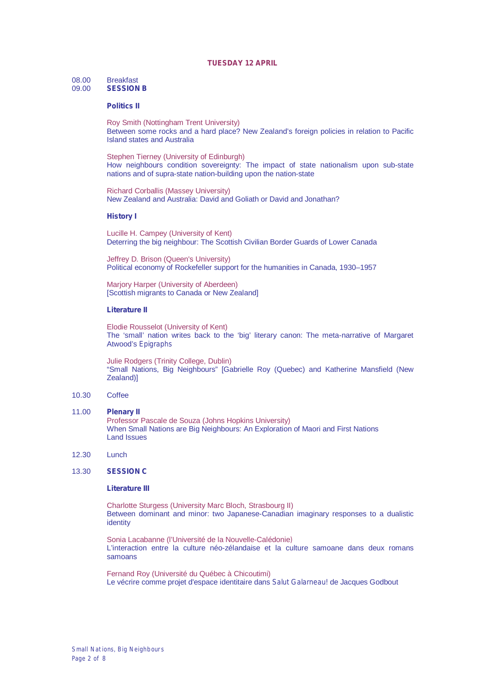#### **TUESDAY 12 APRIL**

# 08.00 Breakfast<br>09.00 **SESSION**

## 09.00 **SESSION B**

#### **Politics II**

Roy Smith (Nottingham Trent University) Between some rocks and a hard place? New Zealand's foreign policies in relation to Pacific Island states and Australia

Stephen Tierney (University of Edinburgh) How neighbours condition sovereignty: The impact of state nationalism upon sub-state nations and of supra-state nation-building upon the nation-state

Richard Corballis (Massey University) New Zealand and Australia: David and Goliath or David and Jonathan?

#### **History I**

Lucille H. Campey (University of Kent) Deterring the big neighbour: The Scottish Civilian Border Guards of Lower Canada

Jeffrey D. Brison (Queen's University) Political economy of Rockefeller support for the humanities in Canada, 1930–1957

Marjory Harper (University of Aberdeen) [Scottish migrants to Canada or New Zealand]

#### **Literature II**

Elodie Rousselot (University of Kent) The 'small' nation writes back to the 'big' literary canon: The meta-narrative of Margaret Atwood's *Epigraphs*

Julie Rodgers (Trinity College, Dublin) "Small Nations, Big Neighbours" [Gabrielle Roy (Quebec) and Katherine Mansfield (New Zealand)]

#### 10.30 Coffee

- 11.00 **Plenary II** Professor Pascale de Souza (Johns Hopkins University) When Small Nations are Big Neighbours: An Exploration of Maori and First Nations Land Issues
- 12.30 Lunch

## 13.30 **SESSION C**

#### **Literature III**

Charlotte Sturgess (University Marc Bloch, Strasbourg II) Between dominant and minor: two Japanese-Canadian imaginary responses to a dualistic identity

Sonia Lacabanne (l'Université de la Nouvelle-Calédonie*)* L'interaction entre la culture néo-zélandaise et la culture samoane dans deux romans samoans

Fernand Roy (Université du Québec à Chicoutimi) Le vécrire comme projet d'espace identitaire dans *Salut Galarneau!* de Jacques Godbout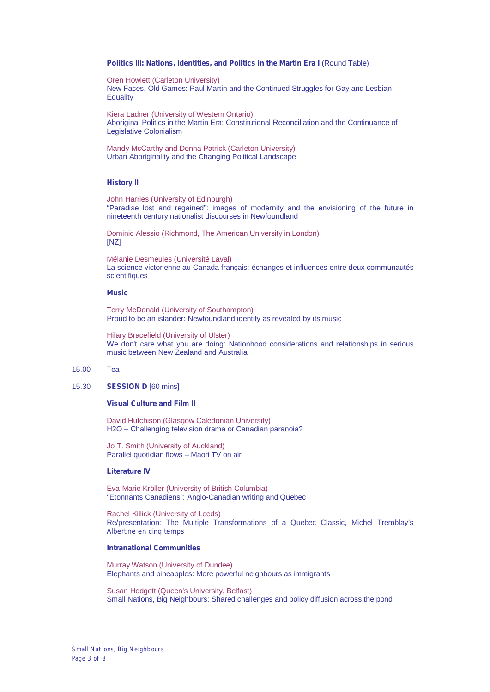#### **Politics III: Nations, Identities, and Politics in the Martin Era I** (Round Table)

Oren Howlett (Carleton University) New Faces, Old Games: Paul Martin and the Continued Struggles for Gay and Lesbian **Equality** 

Kiera Ladner (University of Western Ontario) Aboriginal Politics in the Martin Era: Constitutional Reconciliation and the Continuance of Legislative Colonialism

Mandy McCarthy and Donna Patrick (Carleton University) Urban Aboriginality and the Changing Political Landscape

#### **History II**

John Harries (University of Edinburgh) "Paradise lost and regained": images of modernity and the envisioning of the future in nineteenth century nationalist discourses in Newfoundland

Dominic Alessio (Richmond, The American University in London) [NZ]

Mélanie Desmeules (Université Laval) La science victorienne au Canada français: échanges et influences entre deux communautés scientifiques

#### **Music**

Terry McDonald (University of Southampton) Proud to be an islander: Newfoundland identity as revealed by its music

Hilary Bracefield (University of Ulster) We don't care what you are doing: Nationhood considerations and relationships in serious music between New Zealand and Australia

#### 15.00 Tea

## 15.30 **SESSION D** [60 mins]

#### **Visual Culture and Film II**

David Hutchison (Glasgow Caledonian University) H2O – Challenging television drama or Canadian paranoia?

Jo T. Smith (University of Auckland) Parallel quotidian flows – Maori TV on air

#### **Literature IV**

Eva-Marie Kröller (University of British Columbia) "Etonnants Canadiens": Anglo-Canadian writing and Quebec

Rachel Killick (University of Leeds) Re/presentation: The Multiple Transformations of a Quebec Classic, Michel Tremblay's *Albertine en cinq temps*

#### **Intranational Communities**

Murray Watson (University of Dundee) Elephants and pineapples: More powerful neighbours as immigrants

Susan Hodgett (Queen's University, Belfast) Small Nations, Big Neighbours: Shared challenges and policy diffusion across the pond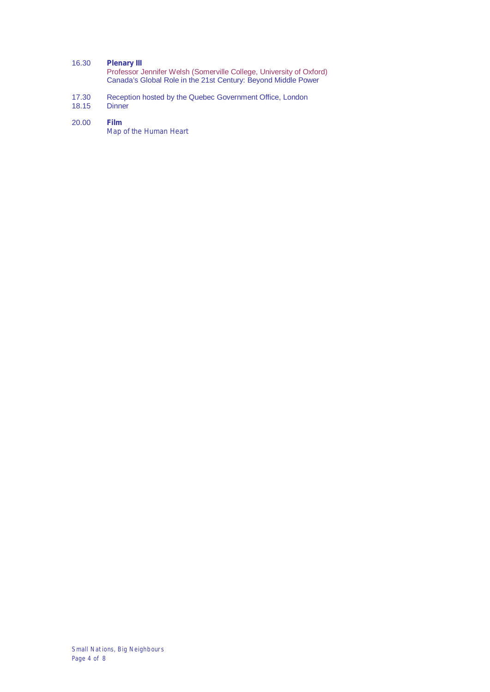## 16.30 **Plenary III**

Professor Jennifer Welsh (Somerville College, University of Oxford) Canada's Global Role in the 21st Century: Beyond Middle Power

- 17.30 Reception hosted by the Quebec Government Office, London
- 18.15 Dinner

#### 20.00 **Film**

*Map of the Human Heart*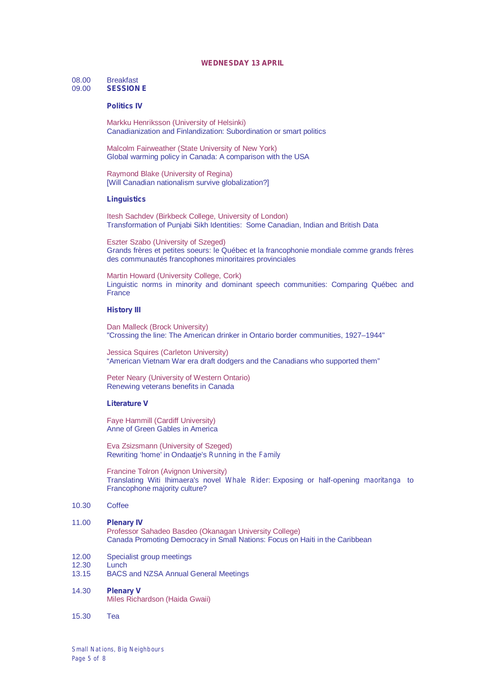#### **WEDNESDAY 13 APRIL**

# 08.00 Breakfast<br>09.00 **SESSION**

## 09.00 **SESSION E**

## **Politics IV**

Markku Henriksson (University of Helsinki) Canadianization and Finlandization: Subordination or smart politics

Malcolm Fairweather (State University of New York) Global warming policy in Canada: A comparison with the USA

Raymond Blake (University of Regina) [Will Canadian nationalism survive globalization?]

#### **Linguistics**

Itesh Sachdev (Birkbeck College, University of London) Transformation of Punjabi Sikh Identities: Some Canadian, Indian and British Data

Eszter Szabo (University of Szeged) Grands frères et petites soeurs: le Québec et la francophonie mondiale comme grands frères des communautés francophones minoritaires provinciales

Martin Howard (University College, Cork) Linguistic norms in minority and dominant speech communities: Comparing Québec and **France** 

### **History III**

Dan Malleck (Brock University) "Crossing the line: The American drinker in Ontario border communities, 1927–1944"

Jessica Squires (Carleton University) "American Vietnam War era draft dodgers and the Canadians who supported them"

Peter Neary (University of Western Ontario) Renewing veterans benefits in Canada

#### **Literature V**

Faye Hammill (Cardiff University) Anne of Green Gables in America

Eva Zsizsmann (University of Szeged) Rewriting 'home' in Ondaatje's *Running in the Family*

Francine Tolron (Avignon University) Translating Witi Ihimaera's novel *Whale Rider*: Exposing or half-opening *maoritanga* to Francophone majority culture?

#### 10.30 Coffee

#### 11.00 **Plenary IV**

Professor Sahadeo Basdeo (Okanagan University College) Canada Promoting Democracy in Small Nations: Focus on Haiti in the Caribbean

- 12.00 Specialist group meetings<br>12.30 Lunch
- 12.30 Lunch<br>13.15 BACS
	- 13.15 BACS and NZSA Annual General Meetings

## 14.30 **Plenary V**

Miles Richardson (Haida Gwaii)

15.30 Tea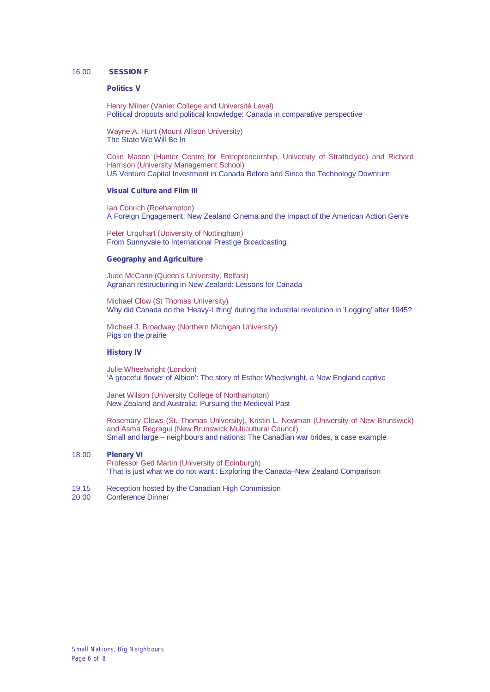#### 16.00 **SESSION F**

#### **Politics V**

Henry Milner (Vanier College and Université Laval) Political dropouts and political knowledge: Canada in comparative perspective

Wayne A. Hunt (Mount Allison University) The State We Will Be In

Colin Mason (Hunter Centre for Entrepreneurship, University of Strathclyde) and Richard Harrison (University Management School) US Venture Capital Investment in Canada Before and Since the Technology Downturn

## **Visual Culture and Film III**

Ian Conrich (Roehampton) A Foreign Engagement: New Zealand Cinema and the Impact of the American Action Genre

Peter Urquhart (University of Nottingham) From Sunnyvale to International Prestige Broadcasting

## **Geography and Agriculture**

Jude McCann (Queen's University, Belfast) Agrarian restructuring in New Zealand: Lessons for Canada

Michael Clow (St Thomas University) Why did Canada do the 'Heavy-Lifting' during the industrial revolution in 'Logging' after 1945?

Michael J. Broadway (Northern Michigan University) Pigs on the prairie

#### **History IV**

Julie Wheelwright (London) 'A graceful flower of Albion': The story of Esther Wheelwright, a New England captive

Janet Wilson (University College of Northampton) New Zealand and Australia: Pursuing the Medieval Past

Rosemary Clews (St. Thomas University), Kristin L. Newman (University of New Brunswick) and Asma Regragui (New Brunswick Multicultural Council) Small and large – neighbours and nations: The Canadian war brides, a case example

#### 18.00 **Plenary VI**

Professor Ged Martin (University of Edinburgh) 'That is just what we do not want': Exploring the Canada–New Zealand Comparison

- 19.15 Reception hosted by the Canadian High Commission<br>20.00 Conference Dinner
- Conference Dinner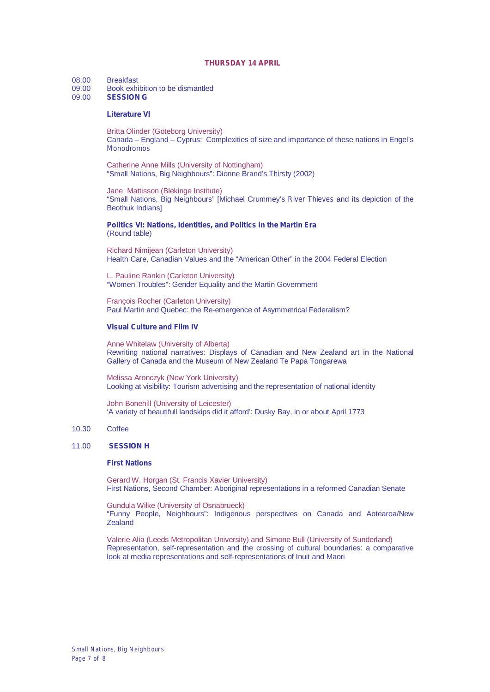#### **THURSDAY 14 APRIL**

08.00 Breakfast<br>09.00 Book exh

- 09.00 Book exhibition to be dismantled<br>09.00 **SESSION G**
- 09.00 **SESSION G**

#### **Literature VI**

Britta Olinder (Göteborg University) Canada – England – Cyprus: Complexities of size and importance of these nations in Engel's *Monodromos*

Catherine Anne Mills (University of Nottingham) "Small Nations, Big Neighbours": Dionne Brand's *Thirsty* (2002)

Jane Mattisson (Blekinge Institute) "Small Nations, Big Neighbours" [Michael Crummey's *River Thieves* and its depiction of the Beothuk Indians]

**Politics VI: Nations, Identities, and Politics in the Martin Era** (Round table)

Richard Nimijean (Carleton University) Health Care, Canadian Values and the "American Other" in the 2004 Federal Election

L. Pauline Rankin (Carleton University) "Women Troubles": Gender Equality and the Martin Government

François Rocher (Carleton University) Paul Martin and Quebec: the Re-emergence of Asymmetrical Federalism?

#### **Visual Culture and Film IV**

Anne Whitelaw (University of Alberta) Rewriting national narratives: Displays of Canadian and New Zealand art in the National Gallery of Canada and the Museum of New Zealand Te Papa Tongarewa

Melissa Aronczyk (New York University) Looking at visibility: Tourism advertising and the representation of national identity

John Bonehill (University of Leicester) 'A variety of beautifull landskips did it afford': Dusky Bay, in or about April 1773

#### 10.30 Coffee

## 11.00 **SESSION H**

#### **First Nations**

Gerard W. Horgan (St. Francis Xavier University) First Nations, Second Chamber: Aboriginal representations in a reformed Canadian Senate

Gundula Wilke (University of Osnabrueck) "Funny People, Neighbours": Indigenous perspectives on Canada and Aotearoa/New Zealand

Valerie Alia (Leeds Metropolitan University) and Simone Bull (University of Sunderland) Representation, self-representation and the crossing of cultural boundaries: a comparative look at media representations and self-representations of Inuit and Maori